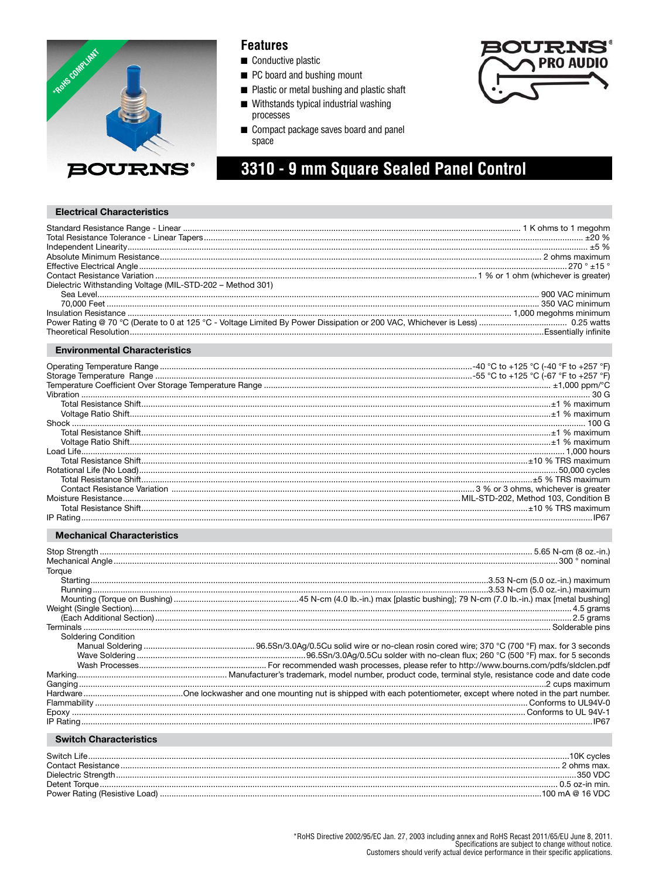

### **Features**

- Conductive plastic
- PC board and bushing mount
- Plastic or metal bushing and plastic shaft
- Withstands typical industrial washing processes
- Compact package saves board and panel space



# 3310 - 9 mm Square Sealed Panel Control

#### **Electrical Characteristics**

| Dielectric Withstanding Voltage (MIL-STD-202 - Method 301) |  |
|------------------------------------------------------------|--|
|                                                            |  |
|                                                            |  |
|                                                            |  |
|                                                            |  |
|                                                            |  |

#### **Environmental Characteristics**

| $\frac{1}{2}$ |  |
|---------------|--|
|               |  |
|               |  |
|               |  |
|               |  |
|               |  |
|               |  |
|               |  |
|               |  |

#### **Mechanical Characteristics**

| Torque                                                                                                                                                                                                                        |  |
|-------------------------------------------------------------------------------------------------------------------------------------------------------------------------------------------------------------------------------|--|
|                                                                                                                                                                                                                               |  |
|                                                                                                                                                                                                                               |  |
|                                                                                                                                                                                                                               |  |
|                                                                                                                                                                                                                               |  |
|                                                                                                                                                                                                                               |  |
|                                                                                                                                                                                                                               |  |
| <b>Soldering Condition</b>                                                                                                                                                                                                    |  |
|                                                                                                                                                                                                                               |  |
|                                                                                                                                                                                                                               |  |
|                                                                                                                                                                                                                               |  |
|                                                                                                                                                                                                                               |  |
|                                                                                                                                                                                                                               |  |
|                                                                                                                                                                                                                               |  |
|                                                                                                                                                                                                                               |  |
|                                                                                                                                                                                                                               |  |
|                                                                                                                                                                                                                               |  |
| the company of the company of the company of the company of the company of the company of the company of the company of the company of the company of the company of the company of the company of the company of the company |  |

### **Switch Characteristics**

| Switch Life.       | .10K cvcles      |
|--------------------|------------------|
| Contact Resistance | ohms max.        |
|                    | 350 VDC          |
| Detent Torque.     | $0.5$ oz-in min. |
|                    | 100 mA @ 16 VDC  |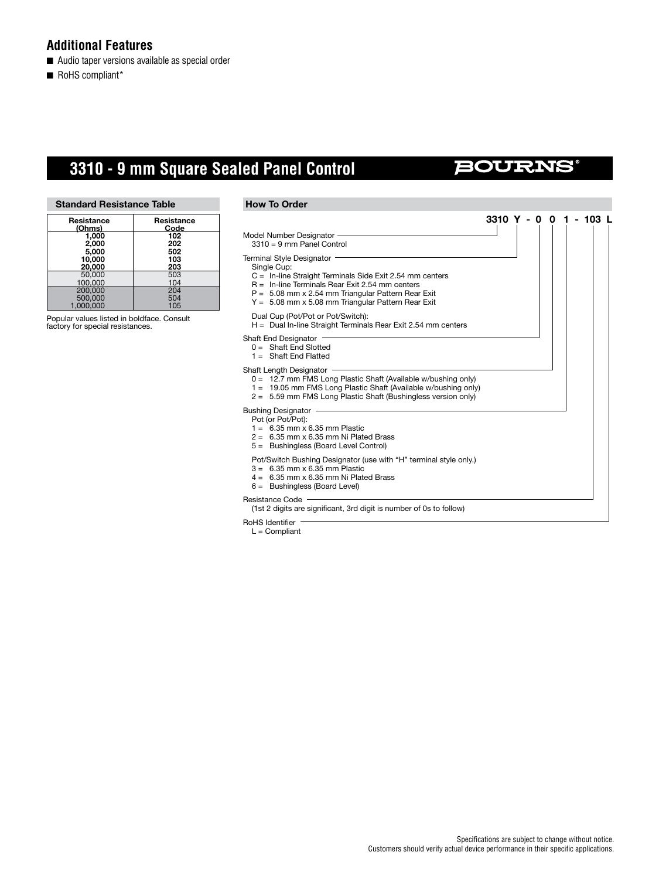### **Additional Features**

- Audio taper versions available as special order
- RoHS compliant\*

# **3310 - 9 mm Square Sealed Panel Control**

# **BOURNS**

**3310 Y - 0 0 1 - 103 L**

#### **Standard Resistance Table**

| Resistance<br>(Ohms) | Resistance<br>Code |
|----------------------|--------------------|
| 1.000<br>2.000       | 102<br>202         |
| 5.000                | 502                |
| 10.000<br>20,000     | 103<br>203         |
| 50,000               | 503                |
| 100.000              | 104                |
| 200,000              | 204                |
| 500.000              | 504                |
| 1.000.000            | 105                |

Popular values listed in boldface. Consult factory for special resistances.

#### **How To Order**

### Model Number Designator

3310 = 9 mm Panel Control

Terminal Style Designator

- Single Cup:
- C = In-line Straight Terminals Side Exit 2.54 mm centers
- R = In-line Terminals Rear Exit 2.54 mm centers
- P = 5.08 mm x 2.54 mm Triangular Pattern Rear Exit
- Y = 5.08 mm x 5.08 mm Triangular Pattern Rear Exit

#### Dual Cup (Pot/Pot or Pot/Switch):

H = Dual In-line Straight Terminals Rear Exit 2.54 mm centers

#### Shaft End Designator

- 0 = Shaft End Slotted
- 1 = Shaft End Flatted

#### Shaft Length Designator ·

- 0 = 12.7 mm FMS Long Plastic Shaft (Available w/bushing only)
- 1 = 19.05 mm FMS Long Plastic Shaft (Available w/bushing only)
- 2 = 5.59 mm FMS Long Plastic Shaft (Bushingless version only)

#### Bushing Designator

- Pot (or Pot/Pot):
- $1 = 6.35$  mm x 6.35 mm Plastic
- $2 = 6.35$  mm x 6.35 mm Ni Plated Brass
- 5 = Bushingless (Board Level Control)
- Pot/Switch Bushing Designator (use with "H" terminal style only.)
- 3 = 6.35 mm x 6.35 mm Plastic
- $4 = 6.35$  mm x 6.35 mm Ni Plated Brass
- 6 = Bushingless (Board Level)

Resistance Code

(1st 2 digits are significant, 3rd digit is number of 0s to follow)

RoHS Identifier

 $L =$  Compliant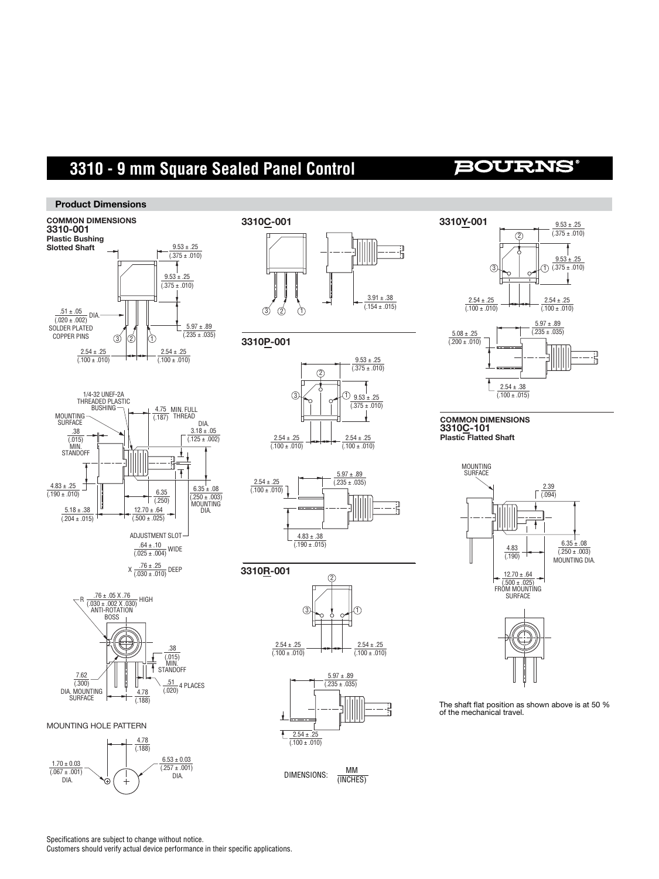# **3310 - 9 mm Square Sealed Panel Control**

# **BOURNS**

#### **Product Dimensions**







#### MOUNTING HOLE PATTERN



















**COMMON DIMENSIONS 3310C-101 Plastic Flatted Shaft**





The shaft flat position as shown above is at 50 %<br>of the mechanical travel.

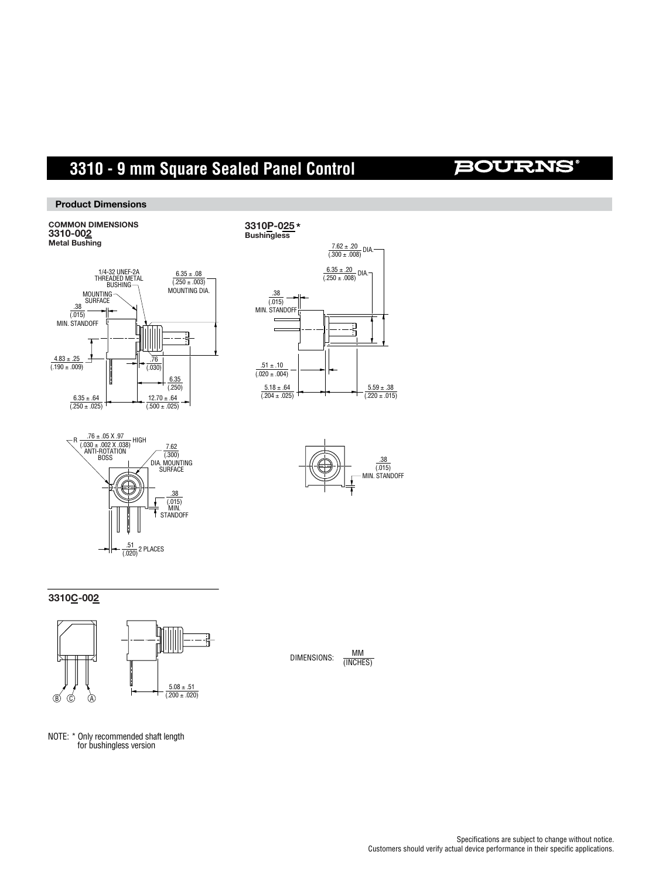# **3310 - 9 mm Square Sealed Panel Control**

### **BOURNS®**

**Product Dimensions**

# **COMMON DIMENSIONS 3310-002 Metal Bushing**









#### **3310C-002**



NOTE: \* Only recommended shaft length for bushingless version

DIMENSIONS:  $\frac{MM}{MMCHE}$ (INCHES)